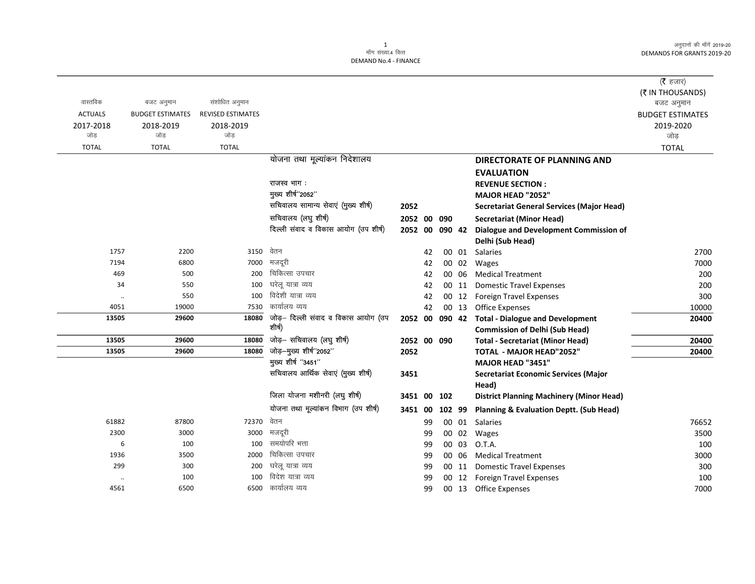अनुदानों की माँगें 2019-20 DEMANDS FOR GRANTS 2019-20

|                |                         |                          |                                      |                |    |        |       |                                                    | ( <b>रै</b> हजार)       |
|----------------|-------------------------|--------------------------|--------------------------------------|----------------|----|--------|-------|----------------------------------------------------|-------------------------|
|                |                         |                          |                                      |                |    |        |       |                                                    | (₹ IN THOUSANDS)        |
| वास्तविक       | बजट अनुमान              | संशोधित अनुमान           |                                      |                |    |        |       |                                                    | बजट अनुमान              |
| <b>ACTUALS</b> | <b>BUDGET ESTIMATES</b> | <b>REVISED ESTIMATES</b> |                                      |                |    |        |       |                                                    | <b>BUDGET ESTIMATES</b> |
| 2017-2018      | 2018-2019               | 2018-2019                |                                      |                |    |        |       |                                                    | 2019-2020               |
| जोड़           | जोड़                    | जोड़                     |                                      |                |    |        |       |                                                    | जोड़                    |
| <b>TOTAL</b>   | <b>TOTAL</b>            | <b>TOTAL</b>             |                                      |                |    |        |       |                                                    | <b>TOTAL</b>            |
|                |                         |                          | योजना तथा मूल्यांकन निदेशालय         |                |    |        |       | <b>DIRECTORATE OF PLANNING AND</b>                 |                         |
|                |                         |                          |                                      |                |    |        |       | <b>EVALUATION</b>                                  |                         |
|                |                         |                          | राजस्व भाग:                          |                |    |        |       | <b>REVENUE SECTION:</b>                            |                         |
|                |                         |                          | मुख्य शीर्ष"2052"                    |                |    |        |       | MAJOR HEAD "2052"                                  |                         |
|                |                         |                          | सचिवालय सामान्य सेवाएं (मुख्य शीर्ष) | 2052           |    |        |       | <b>Secretariat General Services (Major Head)</b>   |                         |
|                |                         |                          | सचिवालय (लघु शीर्ष)                  | 2052 00        |    | 090    |       | <b>Secretariat (Minor Head)</b>                    |                         |
|                |                         |                          | दिल्ली संवाद व विकास आयोग (उप शीर्ष) | 2052 00        |    | 090 42 |       | Dialogue and Development Commission of             |                         |
|                |                         |                          |                                      |                |    |        |       | Delhi (Sub Head)                                   |                         |
| 1757           | 2200                    | 3150                     | वेतन                                 |                | 42 |        |       | 00 01 Salaries                                     | 2700                    |
| 7194           | 6800                    | 7000                     | मजदरी                                |                | 42 |        | 00 02 | Wages                                              | 7000                    |
| 469            | 500                     | 200                      | चिकित्सा उपचार                       |                | 42 |        | 00 06 | <b>Medical Treatment</b>                           | 200                     |
| 34             | 550                     | 100                      | घरेलू यात्रा व्यय                    |                | 42 |        | 00 11 | <b>Domestic Travel Expenses</b>                    | 200                     |
| $\ddotsc$      | 550                     | 100                      | विदेशी यात्रा व्यय                   |                | 42 |        | 00 12 | <b>Foreign Travel Expenses</b>                     | 300                     |
| 4051           | 19000                   | 7530                     | कार्यालय व्यय                        |                | 42 |        | 00 13 | <b>Office Expenses</b>                             | 10000                   |
| 13505          | 29600                   | 18080                    | जोड़– दिल्ली संवाद व विकास आयोग (उप  | 2052 00 090 42 |    |        |       | <b>Total - Dialogue and Development</b>            | 20400                   |
|                |                         |                          | शीर्ष)                               |                |    |        |       | <b>Commission of Delhi (Sub Head)</b>              |                         |
| 13505          | 29600                   | 18080                    | जोड़- सचिवालय (लघु शीर्ष)            | 2052 00 090    |    |        |       | <b>Total - Secretariat (Minor Head)</b>            | 20400                   |
| 13505          | 29600                   | 18080                    | जोड़-मुख्य शीर्ष"2052"               | 2052           |    |        |       | TOTAL - MAJOR HEAD"2052"                           | 20400                   |
|                |                         |                          | मुख्य शीर्ष "3451"                   |                |    |        |       | MAJOR HEAD "3451"                                  |                         |
|                |                         |                          | सचिवालय आर्थिक सेवाएं (मुख्य शीर्ष)  | 3451           |    |        |       | <b>Secretariat Economic Services (Major</b>        |                         |
|                |                         |                          |                                      |                |    |        |       | Head)                                              |                         |
|                |                         |                          | जिला योजना मशीनरी (लघु शीर्ष)        | 3451 00        |    | 102    |       | <b>District Planning Machinery (Minor Head)</b>    |                         |
|                |                         |                          | योजना तथा मूल्यांकन विभाग (उप शीर्ष) | 3451 00        |    | 102 99 |       | <b>Planning &amp; Evaluation Deptt. (Sub Head)</b> |                         |
| 61882          | 87800                   | 72370                    | वेतन                                 |                | 99 |        |       | 00 01 Salaries                                     | 76652                   |
| 2300           | 3000                    | 3000                     | मजदूरी                               |                | 99 |        | 00 02 | Wages                                              | 3500                    |
| 6              | 100                     | 100                      | समयोपरि भत्ता                        |                | 99 |        | 00 03 | O.T.A.                                             | 100                     |
| 1936           | 3500                    | 2000                     | चिकित्सा उपचार                       |                | 99 |        | 00 06 | <b>Medical Treatment</b>                           | 3000                    |
| 299            | 300                     | 200                      | घरेलू यात्रा व्यय                    |                | 99 |        | 00 11 | <b>Domestic Travel Expenses</b>                    | 300                     |
|                | 100                     | 100                      | विदेश यात्रा व्यय                    |                | 99 |        |       | 00 12 Foreign Travel Expenses                      | 100                     |
| 4561           | 6500                    | 6500                     | कार्यालय व्यय                        |                | 99 |        |       | 00 13 Office Expenses                              | 7000                    |
|                |                         |                          |                                      |                |    |        |       |                                                    |                         |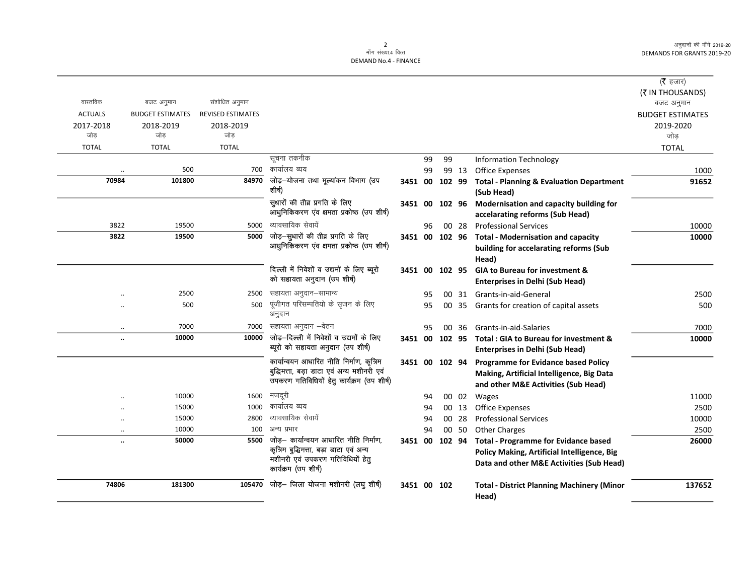अनुदानों की माँगें 2019-20 DEMANDS FOR GRANTS 2019-20

## 2<br>माँग संख्या.4 वित्त DEMAND No.4 - FINANCE

|                      |                         |                          |                                            |                |    |        |       |                                                   | ( $\bar{\tau}$ हजार)    |
|----------------------|-------------------------|--------------------------|--------------------------------------------|----------------|----|--------|-------|---------------------------------------------------|-------------------------|
|                      |                         |                          |                                            |                |    |        |       |                                                   | (₹ IN THOUSANDS)        |
| वास्तविक             | बजट अनुमान              | संशोधित अनुमान           |                                            |                |    |        |       |                                                   | बजट अनुमान              |
| <b>ACTUALS</b>       | <b>BUDGET ESTIMATES</b> | <b>REVISED ESTIMATES</b> |                                            |                |    |        |       |                                                   | <b>BUDGET ESTIMATES</b> |
| 2017-2018            | 2018-2019               | 2018-2019                |                                            |                |    |        |       |                                                   | 2019-2020               |
| जोड                  | जोड                     | जोड                      |                                            |                |    |        |       |                                                   | जोड                     |
| <b>TOTAL</b>         | <b>TOTAL</b>            | <b>TOTAL</b>             |                                            |                |    |        |       |                                                   | <b>TOTAL</b>            |
|                      |                         |                          | सूचना तकनीक                                |                | 99 | 99     |       | <b>Information Technology</b>                     |                         |
|                      | 500                     | 700                      | कार्यालय व्यय                              |                | 99 |        | 99 13 | <b>Office Expenses</b>                            | 1000                    |
| 70984                | 101800                  | 84970                    | जोड़-योजना तथा मूल्यांकन विभाग (उप         | 3451 00        |    |        |       | 102 99 Total - Planning & Evaluation Department   | 91652                   |
|                      |                         |                          | शीर्ष)                                     |                |    |        |       | (Sub Head)                                        |                         |
|                      |                         |                          | सुधारों की तीव्र प्रगति के लिए             | 3451 00        |    | 102 96 |       | Modernisation and capacity building for           |                         |
|                      |                         |                          | आधुनिकिकरण एव क्षमता प्रकोष्ठ (उप शीर्ष)   |                |    |        |       | accelarating reforms (Sub Head)                   |                         |
| 3822                 | 19500                   | 5000                     | व्यावसायिक सेवायें                         |                | 96 |        | 00 28 | <b>Professional Services</b>                      | 10000                   |
| 3822                 | 19500                   | 5000                     | जोड़-सुधारों की तीव्र प्रगति के लिए        |                |    |        |       | 3451 00 102 96 Total - Modernisation and capacity | 10000                   |
|                      |                         |                          | आधुनिकिकरण एव क्षमता प्रकोष्ठ (उप शीर्ष)   |                |    |        |       | building for accelarating reforms (Sub            |                         |
|                      |                         |                          |                                            |                |    |        |       | Head)                                             |                         |
|                      |                         |                          | दिल्ली में निवेशों व उद्यमों के लिए ब्यूरो | 3451 00 102 95 |    |        |       | <b>GIA to Bureau for investment &amp;</b>         |                         |
|                      |                         |                          | को सहायता अनुदान (उप शीर्ष)                |                |    |        |       | <b>Enterprises in Delhi (Sub Head)</b>            |                         |
|                      | 2500                    | 2500                     | सहायता अनुदान–सामान्य                      |                | 95 |        |       | 00 31 Grants-in-aid-General                       | 2500                    |
|                      | 500                     | 500                      | पूंजीगत परिसम्पतियो के सृजन के लिए         |                | 95 |        |       | 00 35 Grants for creation of capital assets       | 500                     |
|                      |                         |                          | अनुदान                                     |                |    |        |       |                                                   |                         |
| $\ddotsc$            | 7000                    | 7000                     | सहायता अनुदान –वेतन                        |                | 95 |        | 00 36 | Grants-in-aid-Salaries                            | 7000                    |
| $\ldots$             | 10000                   | 10000                    | जोड़-दिल्ली में निवेशों व उद्यमों के लिए   | 3451 00 102 95 |    |        |       | Total: GIA to Bureau for investment &             | 10000                   |
|                      |                         |                          | ब्यूरो को सहायता अनुदान (उप शीर्ष)         |                |    |        |       | <b>Enterprises in Delhi (Sub Head)</b>            |                         |
|                      |                         |                          | कार्यान्वयन आधारित नीति निर्माण, कृत्रिम   | 3451 00 102 94 |    |        |       | <b>Programme for Evidance based Policy</b>        |                         |
|                      |                         |                          | बुद्धिमत्ता, बड़ा डाटा एवं अन्य मशीनरी एवं |                |    |        |       | Making, Artificial Intelligence, Big Data         |                         |
|                      |                         |                          | उपकरण गतिविधियों हेतु कार्यक्रम (उप शीर्ष) |                |    |        |       | and other M&E Activities (Sub Head)               |                         |
|                      | 10000                   | 1600                     | मजदूरी                                     |                | 94 |        | 00 02 | Wages                                             | 11000                   |
|                      | 15000                   | 1000                     | कार्यालय व्यय                              |                | 94 |        | 00 13 | <b>Office Expenses</b>                            | 2500                    |
|                      | 15000                   | 2800                     | व्यावसायिक सेवायें                         |                | 94 |        | 00 28 | <b>Professional Services</b>                      | 10000                   |
| $\ddotsc$            | 10000                   | 100                      | अन्य प्रभार                                |                | 94 |        | 00 50 | <b>Other Charges</b>                              | 2500                    |
| $\ddot{\phantom{a}}$ | 50000                   | 5500                     | जोड़– कार्यान्वयन आधारित नीति निर्माण,     | 3451 00        |    | 102 94 |       | <b>Total - Programme for Evidance based</b>       | 26000                   |
|                      |                         |                          | कृत्रिम बुद्धिमत्ता, बड़ा डाटा एवं अन्य    |                |    |        |       | Policy Making, Artificial Intelligence, Big       |                         |
|                      |                         |                          | मशीनरी एवं उपकरण गतिविधियों हेतु           |                |    |        |       | Data and other M&E Activities (Sub Head)          |                         |
|                      |                         |                          | कार्यक्रम (उप शीर्ष)                       |                |    |        |       |                                                   |                         |
| 74806                | 181300                  | 105470                   | जोड़– जिला योजना मशीनरी (लघु शीर्ष)        | 3451 00 102    |    |        |       | <b>Total - District Planning Machinery (Minor</b> | 137652                  |
|                      |                         |                          |                                            |                |    |        |       | Head)                                             |                         |